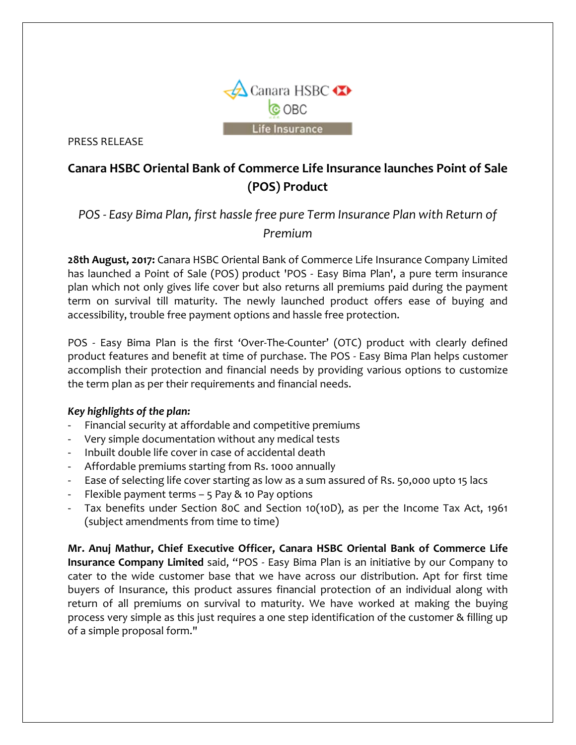

PRESS RELEASE

# **Canara HSBC Oriental Bank of Commerce Life Insurance launches Point of Sale (POS) Product**

## *POS - Easy Bima Plan, first hassle free pure Term Insurance Plan with Return of Premium*

**28th August, 2017:** Canara HSBC Oriental Bank of Commerce Life Insurance Company Limited has launched a Point of Sale (POS) product 'POS - Easy Bima Plan', a pure term insurance plan which not only gives life cover but also returns all premiums paid during the payment term on survival till maturity. The newly launched product offers ease of buying and accessibility, trouble free payment options and hassle free protection.

POS - Easy Bima Plan is the first 'Over-The-Counter' (OTC) product with clearly defined product features and benefit at time of purchase. The POS - Easy Bima Plan helps customer accomplish their protection and financial needs by providing various options to customize the term plan as per their requirements and financial needs.

### *Key highlights of the plan:*

- Financial security at affordable and competitive premiums
- Very simple documentation without any medical tests
- Inbuilt double life cover in case of accidental death
- Affordable premiums starting from Rs. 1000 annually
- Ease of selecting life cover starting as low as a sum assured of Rs. 50,000 upto 15 lacs
- Flexible payment terms  $-$  5 Pay & 10 Pay options
- Tax benefits under Section 80C and Section 10(10D), as per the Income Tax Act, 1961 (subject amendments from time to time)

**Mr. Anuj Mathur, Chief Executive Officer, Canara HSBC Oriental Bank of Commerce Life Insurance Company Limited** said, "POS - Easy Bima Plan is an initiative by our Company to cater to the wide customer base that we have across our distribution. Apt for first time buyers of Insurance, this product assures financial protection of an individual along with return of all premiums on survival to maturity. We have worked at making the buying process very simple as this just requires a one step identification of the customer & filling up of a simple proposal form."